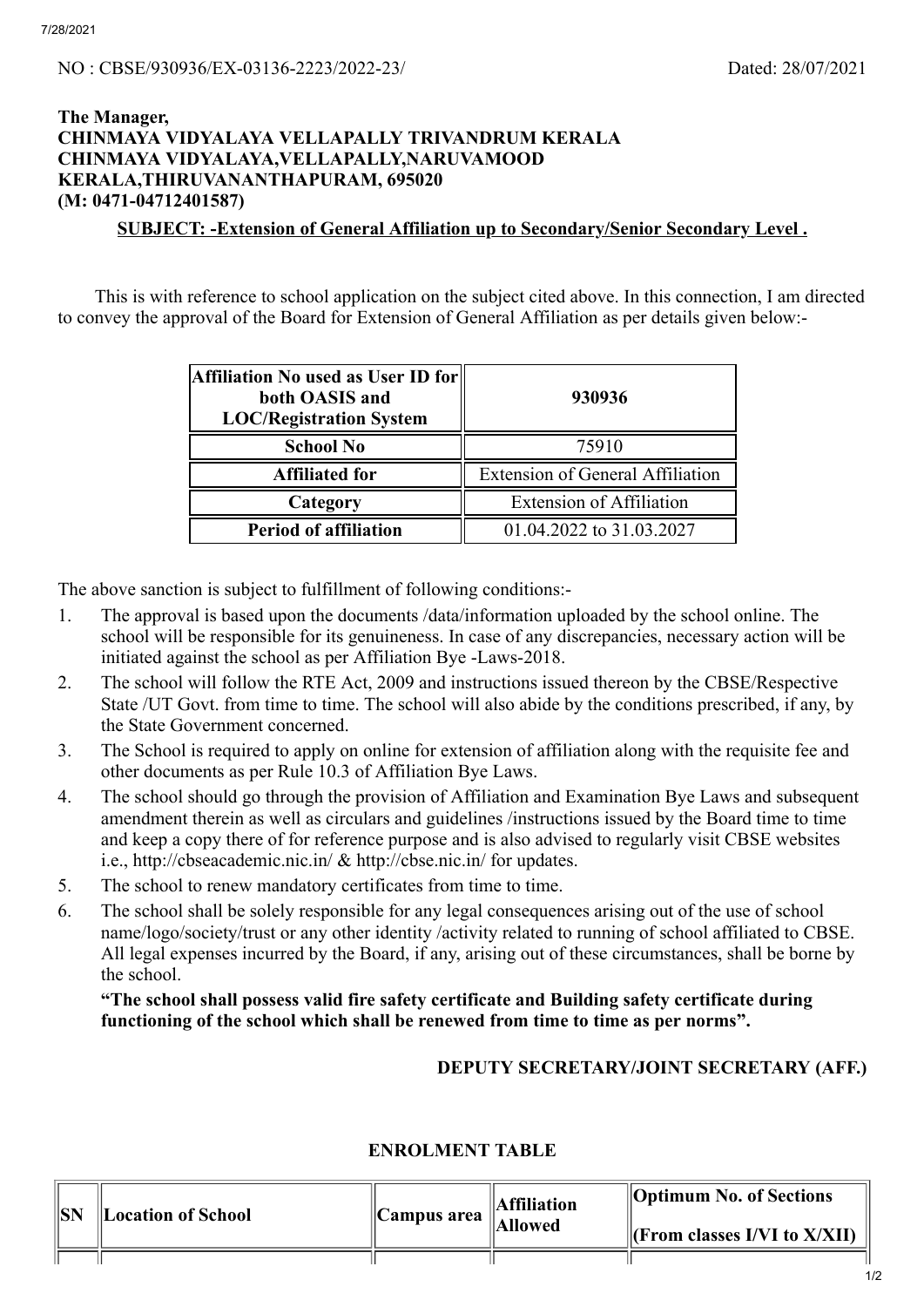## **The Manager, CHINMAYA VIDYALAYA VELLAPALLY TRIVANDRUM KERALA CHINMAYA VIDYALAYA,VELLAPALLY,NARUVAMOOD KERALA,THIRUVANANTHAPURAM, 695020 (M: 0471-04712401587)**

**SUBJECT: -Extension of General Affiliation up to Secondary/Senior Secondary Level .**

This is with reference to school application on the subject cited above. In this connection, I am directed to convey the approval of the Board for Extension of General Affiliation as per details given below:-

| Affiliation No used as User ID for<br>both OASIS and<br><b>LOC/Registration System</b> | 930936                                  |  |
|----------------------------------------------------------------------------------------|-----------------------------------------|--|
| <b>School No</b>                                                                       | 75910                                   |  |
| <b>Affiliated for</b>                                                                  | <b>Extension of General Affiliation</b> |  |
| Category                                                                               | <b>Extension of Affiliation</b>         |  |
| <b>Period of affiliation</b>                                                           | 01.04.2022 to 31.03.2027                |  |

The above sanction is subject to fulfillment of following conditions:-

- 1. The approval is based upon the documents /data/information uploaded by the school online. The school will be responsible for its genuineness. In case of any discrepancies, necessary action will be initiated against the school as per Affiliation Bye -Laws-2018.
- 2. The school will follow the RTE Act, 2009 and instructions issued thereon by the CBSE/Respective State /UT Govt. from time to time. The school will also abide by the conditions prescribed, if any, by the State Government concerned.
- 3. The School is required to apply on online for extension of affiliation along with the requisite fee and other documents as per Rule 10.3 of Affiliation Bye Laws.
- 4. The school should go through the provision of Affiliation and Examination Bye Laws and subsequent amendment therein as well as circulars and guidelines /instructions issued by the Board time to time and keep a copy there of for reference purpose and is also advised to regularly visit CBSE websites i.e., http://cbseacademic.nic.in/ & http://cbse.nic.in/ for updates.
- 5. The school to renew mandatory certificates from time to time.
- 6. The school shall be solely responsible for any legal consequences arising out of the use of school name/logo/society/trust or any other identity /activity related to running of school affiliated to CBSE. All legal expenses incurred by the Board, if any, arising out of these circumstances, shall be borne by the school.

## **"The school shall possess valid fire safety certificate and Building safety certificate during functioning of the school which shall be renewed from time to time as per norms".**

## **DEPUTY SECRETARY/JOINT SECRETARY (AFF.)**

## **ENROLMENT TABLE**

| SN | <b>Location of School</b> | $\ $ Campus area $\ $ | Affiliation<br>Allowed | <b>Optimum No. of Sections</b><br>$\Vert$ (From classes I/VI to X/XII) |
|----|---------------------------|-----------------------|------------------------|------------------------------------------------------------------------|
|    |                           |                       |                        |                                                                        |